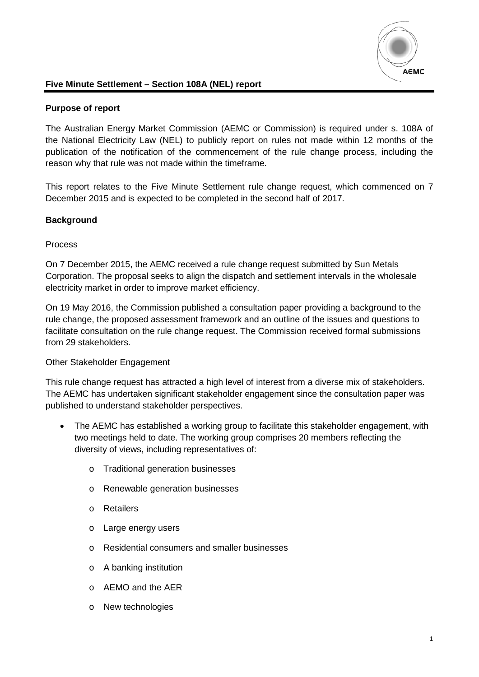

# **Five Minute Settlement – Section 108A (NEL) report**

# **Purpose of report**

The Australian Energy Market Commission (AEMC or Commission) is required under s. 108A of the National Electricity Law (NEL) to publicly report on rules not made within 12 months of the publication of the notification of the commencement of the rule change process, including the reason why that rule was not made within the timeframe.

This report relates to the Five Minute Settlement rule change request, which commenced on 7 December 2015 and is expected to be completed in the second half of 2017.

### **Background**

#### Process

On 7 December 2015, the AEMC received a rule change request submitted by Sun Metals Corporation. The proposal seeks to align the dispatch and settlement intervals in the wholesale electricity market in order to improve market efficiency.

On 19 May 2016, the Commission published a consultation paper providing a background to the rule change, the proposed assessment framework and an outline of the issues and questions to facilitate consultation on the rule change request. The Commission received formal submissions from 29 stakeholders.

#### Other Stakeholder Engagement

This rule change request has attracted a high level of interest from a diverse mix of stakeholders. The AEMC has undertaken significant stakeholder engagement since the consultation paper was published to understand stakeholder perspectives.

- The AEMC has established a working group to facilitate this stakeholder engagement, with two meetings held to date. The working group comprises 20 members reflecting the diversity of views, including representatives of:
	- o Traditional generation businesses
	- o Renewable generation businesses
	- o Retailers
	- o Large energy users
	- o Residential consumers and smaller businesses
	- o A banking institution
	- o AEMO and the AER
	- o New technologies